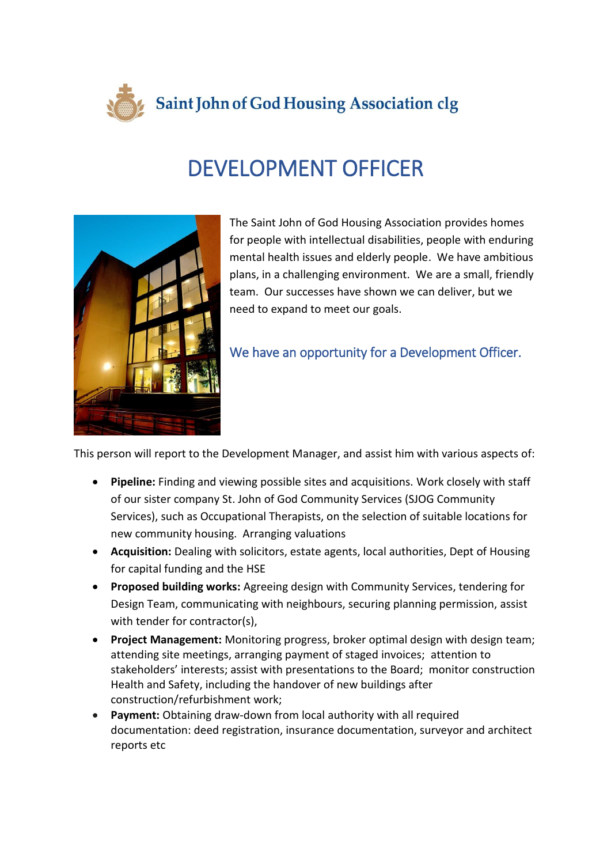

## DEVELOPMENT OFFICER



The Saint John of God Housing Association provides homes for people with intellectual disabilities, people with enduring mental health issues and elderly people. We have ambitious plans, in a challenging environment. We are a small, friendly team. Our successes have shown we can deliver, but we need to expand to meet our goals.

## We have an opportunity for a Development Officer.

This person will report to the Development Manager, and assist him with various aspects of:

- **Pipeline:** Finding and viewing possible sites and acquisitions. Work closely with staff of our sister company St. John of God Community Services (SJOG Community Services), such as Occupational Therapists, on the selection of suitable locations for new community housing. Arranging valuations
- **Acquisition:** Dealing with solicitors, estate agents, local authorities, Dept of Housing for capital funding and the HSE
- **Proposed building works:** Agreeing design with Community Services, tendering for Design Team, communicating with neighbours, securing planning permission, assist with tender for contractor(s),
- **Project Management:** Monitoring progress, broker optimal design with design team; attending site meetings, arranging payment of staged invoices; attention to stakeholders' interests; assist with presentations to the Board; monitor construction Health and Safety, including the handover of new buildings after construction/refurbishment work;
- **Payment:** Obtaining draw-down from local authority with all required documentation: deed registration, insurance documentation, surveyor and architect reports etc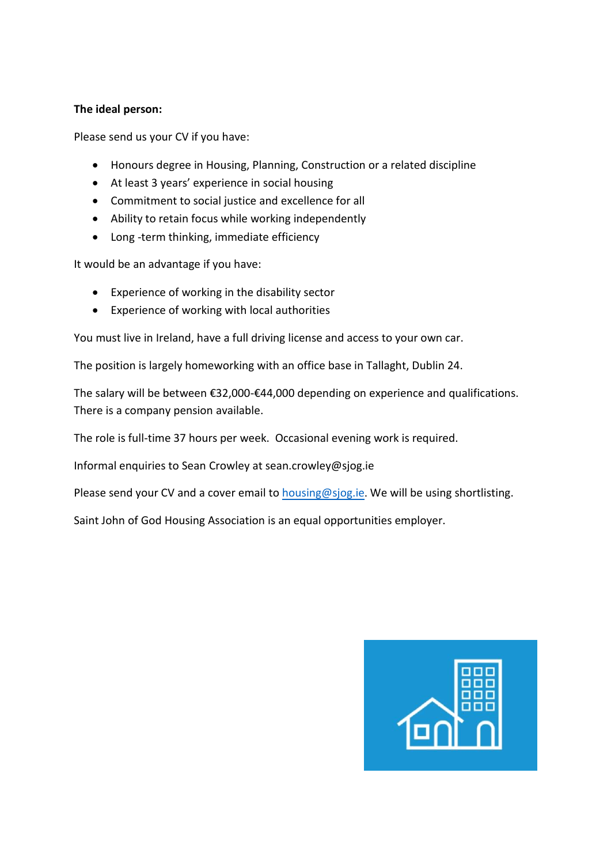## **The ideal person:**

Please send us your CV if you have:

- Honours degree in Housing, Planning, Construction or a related discipline
- At least 3 years' experience in social housing
- Commitment to social justice and excellence for all
- Ability to retain focus while working independently
- Long-term thinking, immediate efficiency

It would be an advantage if you have:

- Experience of working in the disability sector
- Experience of working with local authorities

You must live in Ireland, have a full driving license and access to your own car.

The position is largely homeworking with an office base in Tallaght, Dublin 24.

The salary will be between €32,000-€44,000 depending on experience and qualifications. There is a company pension available.

The role is full-time 37 hours per week. Occasional evening work is required.

Informal enquiries to Sean Crowley at sean.crowley@sjog.ie

Please send your CV and a cover email to [housing@sjog.ie](mailto:housing@sjog.ie). We will be using shortlisting.

Saint John of God Housing Association is an equal opportunities employer.